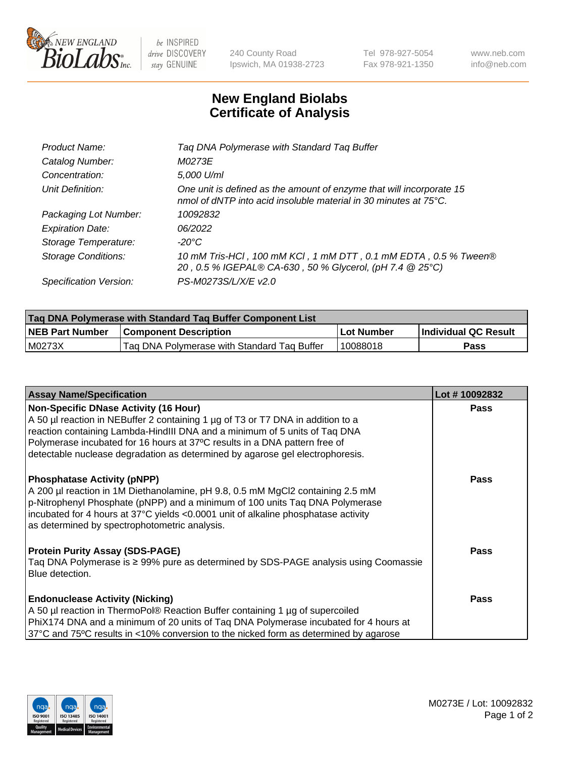

 $be$  INSPIRED drive DISCOVERY stay GENUINE

240 County Road Ipswich, MA 01938-2723 Tel 978-927-5054 Fax 978-921-1350 www.neb.com info@neb.com

## **New England Biolabs Certificate of Analysis**

| Tag DNA Polymerase with Standard Tag Buffer                                                                                                        |
|----------------------------------------------------------------------------------------------------------------------------------------------------|
| M0273E                                                                                                                                             |
| 5,000 U/ml                                                                                                                                         |
| One unit is defined as the amount of enzyme that will incorporate 15<br>nmol of dNTP into acid insoluble material in 30 minutes at $75^{\circ}$ C. |
| 10092832                                                                                                                                           |
| 06/2022                                                                                                                                            |
| $-20^{\circ}$ C                                                                                                                                    |
| 10 mM Tris-HCl, 100 mM KCl, 1 mM DTT, 0.1 mM EDTA, 0.5 % Tween®<br>20, 0.5 % IGEPAL® CA-630, 50 % Glycerol, (pH 7.4 @ 25°C)                        |
| PS-M0273S/L/X/E v2.0                                                                                                                               |
|                                                                                                                                                    |

| Tag DNA Polymerase with Standard Tag Buffer Component List |                                             |              |                      |  |  |
|------------------------------------------------------------|---------------------------------------------|--------------|----------------------|--|--|
| <b>NEB Part Number</b>                                     | <b>Component Description</b>                | l Lot Number | Individual QC Result |  |  |
| M0273X                                                     | Tag DNA Polymerase with Standard Tag Buffer | 10088018     | Pass                 |  |  |

| <b>Assay Name/Specification</b>                                                                                                                                                                                                                                                                                                                                              | Lot #10092832 |
|------------------------------------------------------------------------------------------------------------------------------------------------------------------------------------------------------------------------------------------------------------------------------------------------------------------------------------------------------------------------------|---------------|
| <b>Non-Specific DNase Activity (16 Hour)</b><br>A 50 µl reaction in NEBuffer 2 containing 1 µg of T3 or T7 DNA in addition to a<br>reaction containing Lambda-HindIII DNA and a minimum of 5 units of Taq DNA<br>Polymerase incubated for 16 hours at 37°C results in a DNA pattern free of<br>detectable nuclease degradation as determined by agarose gel electrophoresis. | <b>Pass</b>   |
| <b>Phosphatase Activity (pNPP)</b><br>A 200 µl reaction in 1M Diethanolamine, pH 9.8, 0.5 mM MgCl2 containing 2.5 mM<br>p-Nitrophenyl Phosphate (pNPP) and a minimum of 100 units Taq DNA Polymerase<br>incubated for 4 hours at 37°C yields <0.0001 unit of alkaline phosphatase activity<br>as determined by spectrophotometric analysis.                                  | <b>Pass</b>   |
| <b>Protein Purity Assay (SDS-PAGE)</b><br>Taq DNA Polymerase is ≥ 99% pure as determined by SDS-PAGE analysis using Coomassie<br>Blue detection.                                                                                                                                                                                                                             | <b>Pass</b>   |
| <b>Endonuclease Activity (Nicking)</b><br>A 50 µl reaction in ThermoPol® Reaction Buffer containing 1 µg of supercoiled<br>PhiX174 DNA and a minimum of 20 units of Taq DNA Polymerase incubated for 4 hours at<br>37°C and 75°C results in <10% conversion to the nicked form as determined by agarose                                                                      | <b>Pass</b>   |